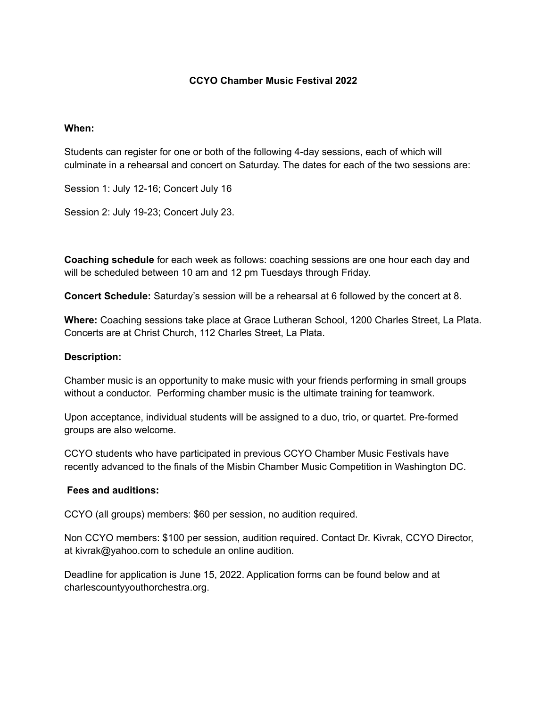# **CCYO Chamber Music Festival 2022**

#### **When:**

Students can register for one or both of the following 4-day sessions, each of which will culminate in a rehearsal and concert on Saturday. The dates for each of the two sessions are:

Session 1: July 12-16; Concert July 16

Session 2: July 19-23; Concert July 23.

**Coaching schedule** for each week as follows: coaching sessions are one hour each day and will be scheduled between 10 am and 12 pm Tuesdays through Friday.

**Concert Schedule:** Saturday's session will be a rehearsal at 6 followed by the concert at 8.

**Where:** Coaching sessions take place at Grace Lutheran School, 1200 Charles Street, La Plata. Concerts are at Christ Church, 112 Charles Street, La Plata.

### **Description:**

Chamber music is an opportunity to make music with your friends performing in small groups without a conductor. Performing chamber music is the ultimate training for teamwork.

Upon acceptance, individual students will be assigned to a duo, trio, or quartet. Pre-formed groups are also welcome.

CCYO students who have participated in previous CCYO Chamber Music Festivals have recently advanced to the finals of the Misbin Chamber Music Competition in Washington DC.

# **Fees and auditions:**

CCYO (all groups) members: \$60 per session, no audition required.

Non CCYO members: \$100 per session, audition required. Contact Dr. Kivrak, CCYO Director, at kivrak@yahoo.com to schedule an online audition.

Deadline for application is June 15, 2022. Application forms can be found below and at charlescountyyouthorchestra.org.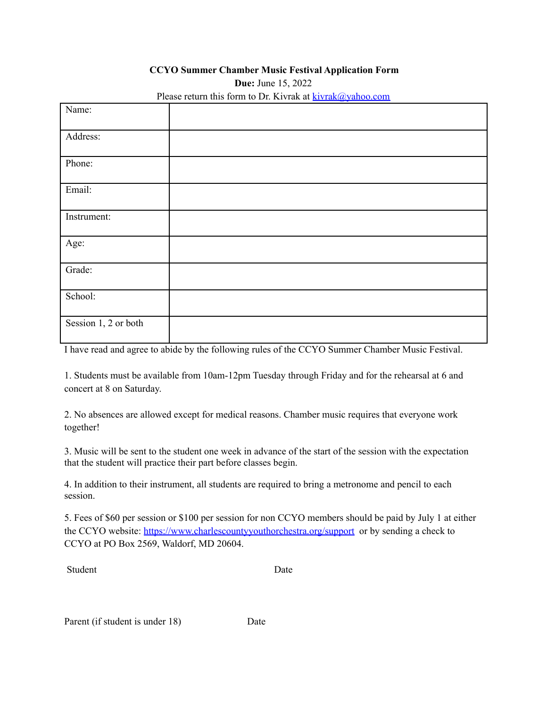### **CCYO Summer Chamber Music Festival Application Form**

**Due:** June 15, 2022

| Name:                |  |
|----------------------|--|
| Address:             |  |
| Phone:               |  |
| Email:               |  |
| Instrument:          |  |
| Age:                 |  |
| Grade:               |  |
| School:              |  |
| Session 1, 2 or both |  |

Please return this form to Dr. Kivrak at  $kivrak@yahoo.com$ 

I have read and agree to abide by the following rules of the CCYO Summer Chamber Music Festival.

1. Students must be available from 10am-12pm Tuesday through Friday and for the rehearsal at 6 and concert at 8 on Saturday.

2. No absences are allowed except for medical reasons. Chamber music requires that everyone work together!

3. Music will be sent to the student one week in advance of the start of the session with the expectation that the student will practice their part before classes begin.

4. In addition to their instrument, all students are required to bring a metronome and pencil to each session.

5. Fees of \$60 per session or \$100 per session for non CCYO members should be paid by July 1 at either the CCYO website: <https://www.charlescountyyouthorchestra.org/support> or by sending a check to CCYO at PO Box 2569, Waldorf, MD 20604.

Student Date

Parent (if student is under 18) Date